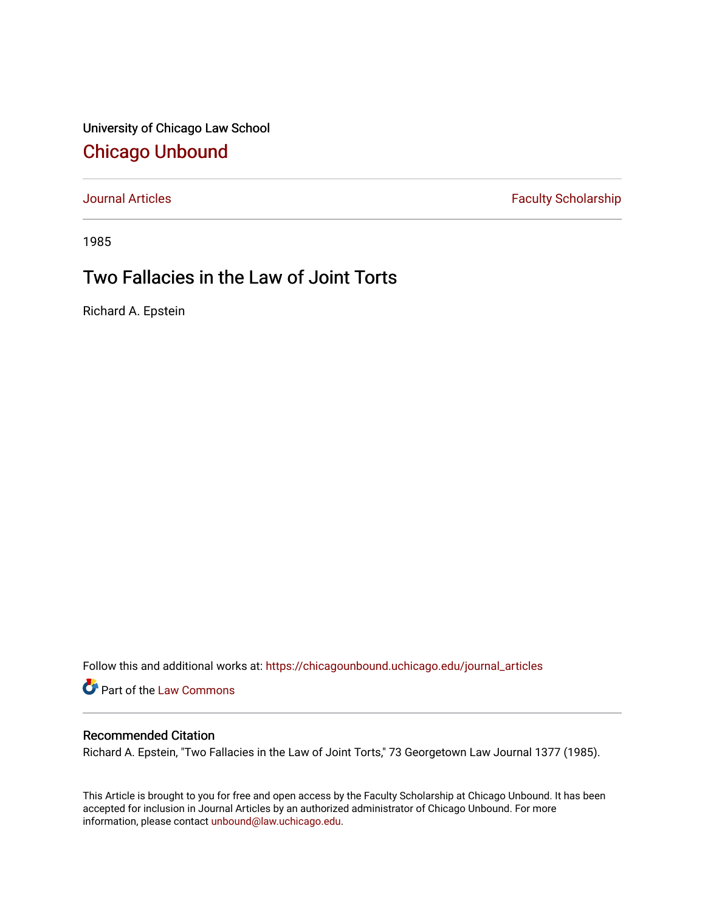University of Chicago Law School [Chicago Unbound](https://chicagounbound.uchicago.edu/)

[Journal Articles](https://chicagounbound.uchicago.edu/journal_articles) **Faculty Scholarship Faculty Scholarship** 

1985

# Two Fallacies in the Law of Joint Torts

Richard A. Epstein

Follow this and additional works at: [https://chicagounbound.uchicago.edu/journal\\_articles](https://chicagounbound.uchicago.edu/journal_articles?utm_source=chicagounbound.uchicago.edu%2Fjournal_articles%2F1268&utm_medium=PDF&utm_campaign=PDFCoverPages) 

Part of the [Law Commons](http://network.bepress.com/hgg/discipline/578?utm_source=chicagounbound.uchicago.edu%2Fjournal_articles%2F1268&utm_medium=PDF&utm_campaign=PDFCoverPages)

## Recommended Citation

Richard A. Epstein, "Two Fallacies in the Law of Joint Torts," 73 Georgetown Law Journal 1377 (1985).

This Article is brought to you for free and open access by the Faculty Scholarship at Chicago Unbound. It has been accepted for inclusion in Journal Articles by an authorized administrator of Chicago Unbound. For more information, please contact [unbound@law.uchicago.edu](mailto:unbound@law.uchicago.edu).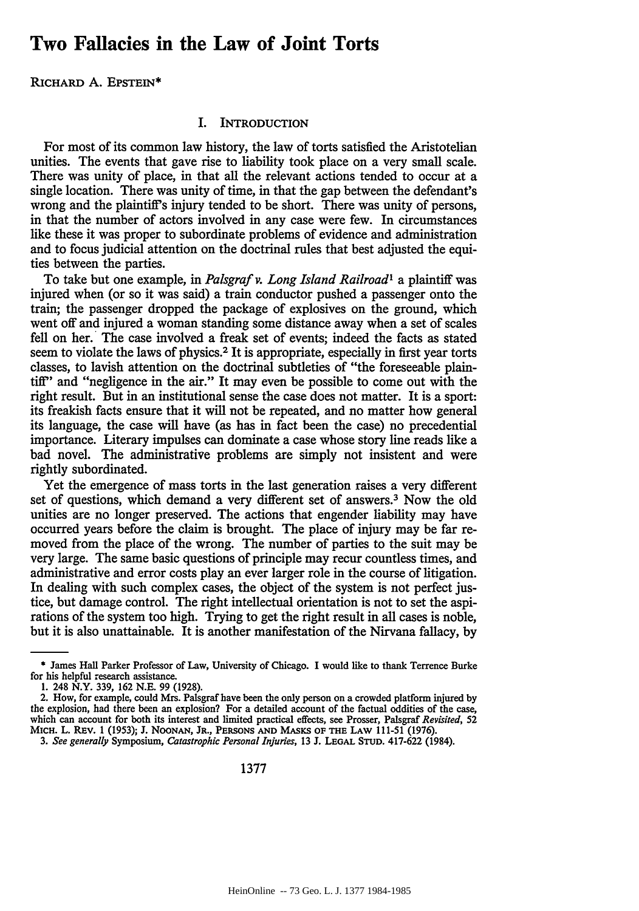## **Two Fallacies in the Law of Joint Torts**

RICHARD **A.** EPSTEIN\*

#### I. INTRODUCTION

For most of its common law history, the law of torts satisfied the Aristotelian unities. The events that gave rise to liability took place on a very small scale. There was unity of place, in that all the relevant actions tended to occur at a single location. There was unity of time, in that the gap between the defendant's wrong and the plaintiff's injury tended to be short. There was unity of persons, in that the number of actors involved in any case were few. In circumstances like these it was proper to subordinate problems of evidence and administration and to focus judicial attention on the doctrinal rules that best adjusted the equities between the parties.

To take but one example, in *Palsgraf v. Long Island Railroad'* a plaintiff was injured when (or so it was said) a train conductor pushed a passenger onto the train; the passenger dropped the package of explosives on the ground, which went off and injured a woman standing some distance away when a set of scales fell on her. The case involved a freak set of events; indeed the facts as stated seem to violate the laws of physics.<sup>2</sup> It is appropriate, especially in first year torts classes, to lavish attention on the doctrinal subtleties of "the foreseeable plaintiff" and "negligence in the air." It may even be possible to come out with the right result. But in an institutional sense the case does not matter. It is a sport: its freakish facts ensure that it will not be repeated, and no matter how general its language, the case will have (as has in fact been the case) no precedential importance. Literary impulses can dominate a case whose story line reads like a bad novel. The administrative problems are simply not insistent and were rightly subordinated.

Yet the emergence of mass torts in the last generation raises a very different set of questions, which demand a very different set of answers.<sup>3</sup> Now the old unities are no longer preserved. The actions that engender liability may have occurred years before the claim is brought. The place of injury may be far removed from the place of the wrong. The number of parties to the suit may be very large. The same basic questions of principle may recur countless times, and administrative and error costs play an ever larger role in the course of litigation. In dealing with such complex cases, the object of the system is not perfect justice, but damage control. The right intellectual orientation is not to set the aspirations of the system too high. Trying to get the right result in all cases is noble, but it is also unattainable. It is another manifestation of the Nirvana fallacy, by

<sup>\*</sup> James Hall Parker Professor of Law, University of Chicago. **I** would like to thank Terrence Burke for his helpful research assistance.

<sup>1. 248</sup> N.Y. 339, 162 N.E. 99 (1928).

<sup>2.</sup> How, for example, could Mrs. Palsgraf have been the only person on a crowded platform injured by the explosion, had there been an explosion? For a detailed account of the factual oddities of the case, which can account for both its interest and limited practical effects, see Prosser, Palsgraf *Revisited, 52* MICH. L. REv. 1 (1953); J. NOONAN, JR., **PERSONS AND** MASKS **OF THE** LAW 111-51 (1976).

*<sup>3.</sup> See generally* Symposium, *Catastrophic Personal Injuries,* 13 J. **LEGAL STUD.** 417-622 (1984).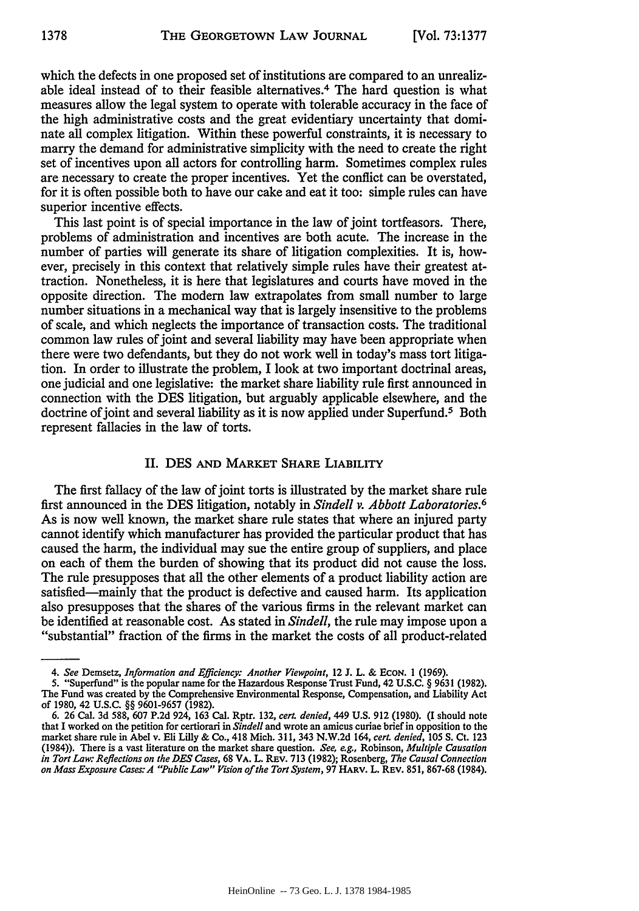which the defects in one proposed set of institutions are compared to an unrealizable ideal instead of to their feasible alternatives. 4 The hard question is what measures allow the legal system to operate with tolerable accuracy in the face of the high administrative costs and the great evidentiary uncertainty that dominate all complex litigation. Within these powerful constraints, it is necessary to marry the demand for administrative simplicity with the need to create the right set of incentives upon all actors for controlling harm. Sometimes complex rules are necessary to create the proper incentives. Yet the conflict can be overstated, for it is often possible both to have our cake and eat it too: simple rules can have superior incentive effects.

This last point is of special importance in the law of joint tortfeasors. There, problems of administration and incentives are both acute. The increase in the number of parties will generate its share of litigation complexities. It is, however, precisely in this context that relatively simple rules have their greatest attraction. Nonetheless, it is here that legislatures and courts have moved in the opposite direction. The modern law extrapolates from small number to large number situations in a mechanical way that is largely insensitive to the problems of scale, and which neglects the importance of transaction costs. The traditional common law rules of joint and several liability may have been appropriate when there were two defendants, but they do not work well in today's mass tort litigation. In order to illustrate the problem, I look at two important doctrinal areas, one judicial and one legislative: the market share liability rule first announced in connection with the DES litigation, but arguably applicable elsewhere, and the doctrine of joint and several liability as it is now applied under Superfund.<sup>5</sup> Both represent fallacies in the law of torts.

### **II.** DES **AND** MARKET SHARE LIABILITY

The first fallacy of the law of joint torts is illustrated **by** the market share rule first announced in the **DES** litigation, notably in *Sindell v. Abbott Laboratories.6* As is now well known, the market share rule states that where an injured party cannot identify which manufacturer has provided the particular product that has caused the harm, the individual may sue the entire group of suppliers, and place on each of them the burden of showing that its product did not cause the loss. The rule presupposes that all the other elements of a product liability action are satisfied-mainly that the product is defective and caused harm. Its application also presupposes that the shares of the various firms in the relevant market can be identified at reasonable cost. As stated in *Sindell,* the rule may impose upon a "substantial" fraction of the firms in the market the costs of all product-related

*<sup>4.</sup> See* Demsetz, *Information and Efficiency: Another Viewpoint,* 12 **J.** L. & **ECON. 1 (1969).**

**<sup>5.</sup>** "Superfund" is the popular name for the Hazardous Response Trust Fund, 42 **U.S.C.** § **9631 (1982).** The Fund was created **by** the Comprehensive Environmental Response, Compensation, and Liability Act of **1980,** 42 **U.S.C.** §§ **9601-9657 (1982).**

**<sup>6. 26</sup>** Cal. **3d 588, 607 P.2d** 924, **163** Cal. Rptr. **132,** *cerL denied,* 449 **U.S. 912 (1980). (I** should note that **I** worked on the petition for certiorari in *Sindell* and wrote an amicus curiae brief in opposition to the market share rule in Abel v. Eli Lilly & Co., 418 Mich. 311, 343 N.W.2d 164, *cert. denied,* 105 **S.** Ct. 123 (1984)). There is a vast literature on the market share question. *See, e.g.,* Robinson, *Multiple Causation in Tort Law: Reflections on the DES Cases,* 68 VA. L. REV. 713 (1982); Rosenberg, *The Causal Connection on Mass Exposure Cases: A "Public Law" Vision of the Tort System,* 97 HARV. L. REV. 851, 867-68 (1984).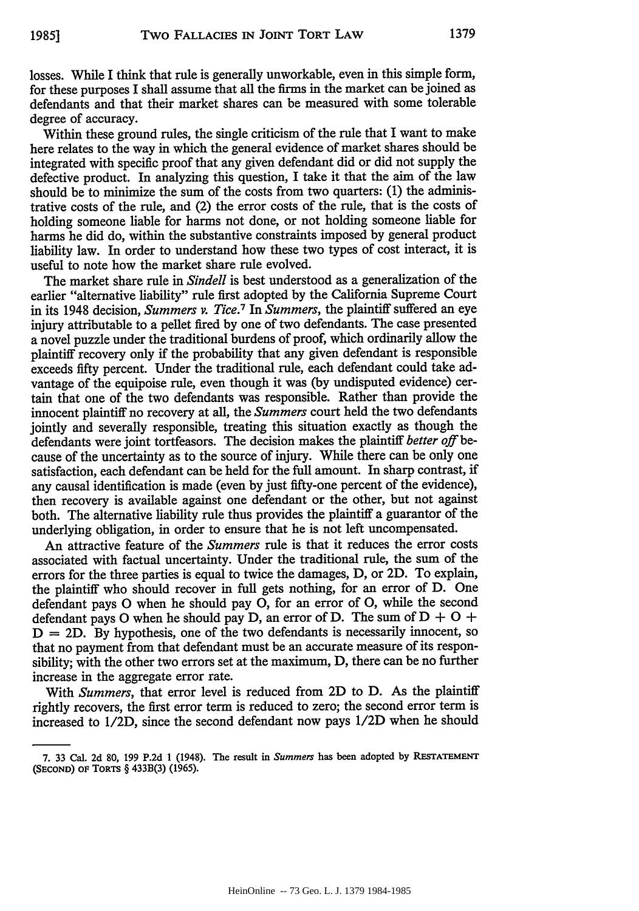losses. While I think that rule is generally unworkable, even in this simple form, for these purposes I shall assume that all the firms in the market can be joined as defendants and that their market shares can be measured with some tolerable degree of accuracy.

Within these ground rules, the single criticism of the rule that I want to make here relates to the way in which the general evidence of market shares should be integrated with specific proof that any given defendant did or did not supply the defective product. In analyzing this question, I take it that the aim of the law should be to minimize the sum of the costs from two quarters: (1) the administrative costs of the rule, and (2) the error costs of the rule, that is the costs of holding someone liable for harms not done, or not holding someone liable for harms he did do, within the substantive constraints imposed by general product liability law. In order to understand how these two types of cost interact, it is useful to note how the market share rule evolved.

The market share rule in *Sindell* is best understood as a generalization of the earlier "alternative liability" rule first adopted by the California Supreme Court in its 1948 decision, *Summers v. Tice.7* In *Summers,* the plaintiff suffered an eye injury attributable to a pellet fired by one of two defendants. The case presented a novel puzzle under the traditional burdens of proof, which ordinarily allow the plaintiff recovery only if the probability that any given defendant is responsible exceeds fifty percent. Under the traditional rule, each defendant could take advantage of the equipoise rule, even though it was (by undisputed evidence) certain that one of the two defendants was responsible. Rather than provide the innocent plaintiff no recovery at all, the *Summers* court held the two defendants jointly and severally responsible, treating this situation exactly as though the defendants were joint tortfeasors. The decision makes the plaintiff *better off* because of the uncertainty as to the source of injury. While there can be only one satisfaction, each defendant can be held for the full amount. In sharp contrast, if any causal identification is made (even by just fifty-one percent of the evidence), then recovery is available against one defendant or the other, but not against both. The alternative liability rule thus provides the plaintiff a guarantor of the underlying obligation, in order to ensure that he is not left uncompensated.

An attractive feature of the *Summers* rule is that it reduces the error costs associated with factual uncertainty. Under the traditional rule, the sum of the errors for the three parties is equal to twice the damages, D, or 2D. To explain, the plaintiff who should recover in full gets nothing, for an error of D. One defendant pays **0** when he should pay **0,** for an error of **0,** while the second defendant pays O when he should pay D, an error of D. The sum of  $D + O +$  $D = 2D$ . By hypothesis, one of the two defendants is necessarily innocent, so that no payment from that defendant must be an accurate measure of its responsibility; with the other two errors set at the maximum, D, there can be no further increase in the aggregate error rate.

With *Summers,* that error level is reduced from 2D to D. As the plaintiff rightly recovers, the first error term is reduced to zero; the second error term is increased to 1/2D, since the second defendant now pays 1/2D when he should

<sup>7. 33</sup> Cal. 2d 80, 199 P.2d 1 (1948). The result in Summers has been adopted by RESTATEMENT **(SECOND)** OF TORTS § 433B(3) (1965).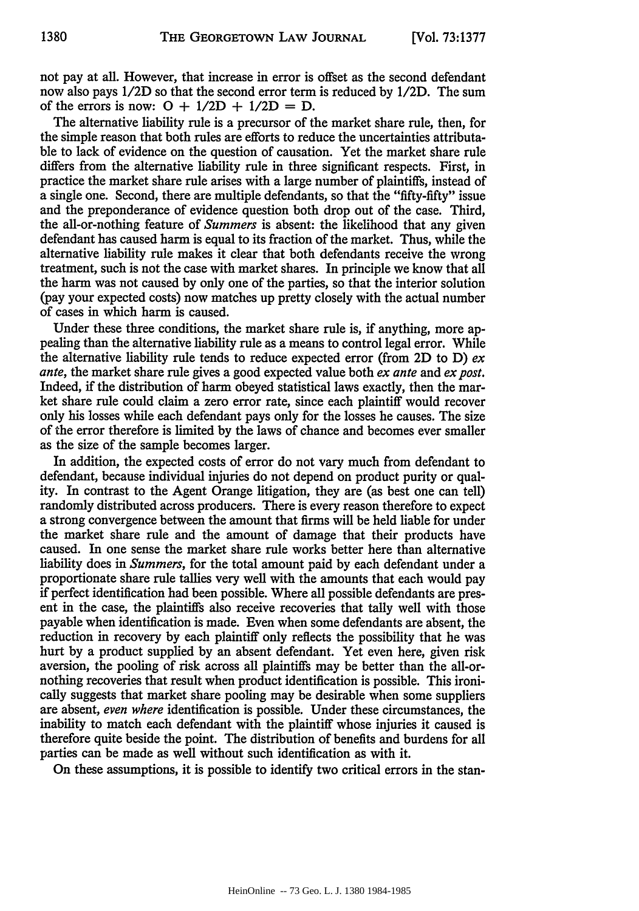not pay at all. However, that increase in error is offset as the second defendant now also pays 1/2D so that the second error term is reduced by 1/2D. The sum of the errors is now:  $Q + 1/2D + 1/2D = D$ .

The alternative liability rule is a precursor of the market share rule, then, for the simple reason that both rules are efforts to reduce the uncertainties attributable to lack of evidence on the question of causation. Yet the market share rule differs from the alternative liability rule in three significant respects. First, in practice the market share rule arises with a large number of plaintiffs, instead of a single one. Second, there are multiple defendants, so that the "fifty-fifty" issue and the preponderance of evidence question both drop out of the case. Third, the all-or-nothing feature of *Summers* is absent: the likelihood that any given defendant has caused harm is equal to its fraction of the market. Thus, while the alternative liability rule makes it clear that both defendants receive the wrong treatment, such is not the case with market shares. In principle we know that all the harm was not caused by only one of the parties, so that the interior solution (pay your expected costs) now matches up pretty closely with the actual number of cases in which harm is caused.

Under these three conditions, the market share rule is, if anything, more appealing than the alternative liability rule as a means to control legal error. While the alternative liability rule tends to reduce expected error (from 2D to D) *ex ante,* the market share rule gives a good expected value both *ex ante* and *ex post.* Indeed, if the distribution of harm obeyed statistical laws exactly, then the market share rule could claim a zero error rate, since each plaintiff would recover only his losses while each defendant pays only for the losses he causes. The size of the error therefore is limited by the laws of chance and becomes ever smaller as the size of the sample becomes larger.

In addition, the expected costs of error do not vary much from defendant to defendant, because individual injuries do not depend on product purity or quality. In contrast to the Agent Orange litigation, they are (as best one can tell) randomly distributed across producers. There is every reason therefore to expect a strong convergence between the amount that firms will be held liable for under the market share rule and the amount of damage that their products have caused. In one sense the market share rule works better here than alternative liability does in *Summers,* for the total amount paid by each defendant under a proportionate share rule tallies very well with the amounts that each would pay if perfect identification had been possible. Where all possible defendants are present in the case, the plaintiffs also receive recoveries that tally well with those payable when identification is made. Even when some defendants are absent, the reduction in recovery by each plaintiff only reflects the possibility that he was hurt by a product supplied by an absent defendant. Yet even here, given risk aversion, the pooling of risk across all plaintiffs may be better than the all-ornothing recoveries that result when product identification is possible. This ironically suggests that market share pooling may be desirable when some suppliers are absent, *even where* identification is possible. Under these circumstances, the inability to match each defendant with the plaintiff whose injuries it caused is therefore quite beside the point. The distribution of benefits and burdens for all parties can be made as well without such identification as with it.

On these assumptions, it is possible to identify two critical errors in the stan-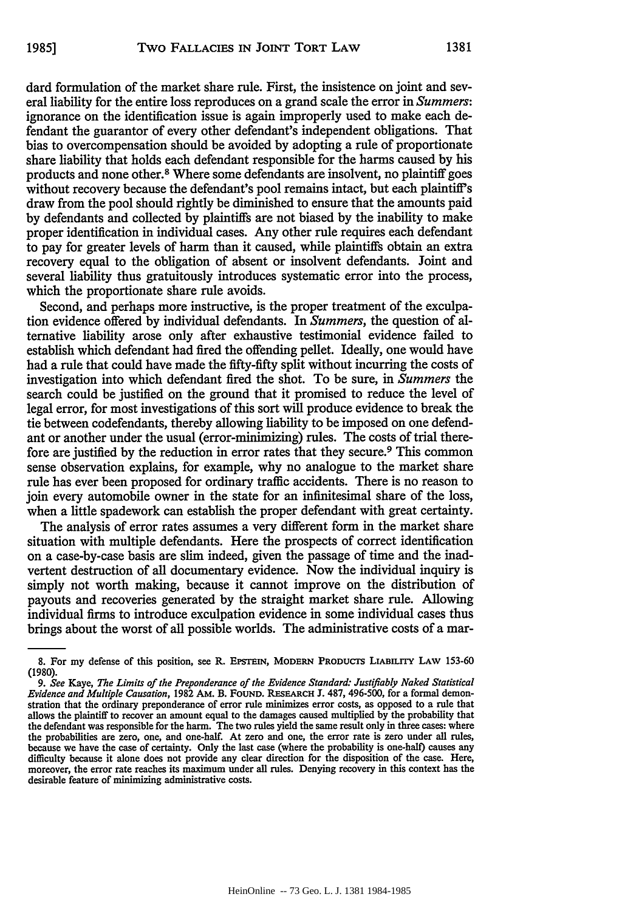dard formulation of the market share rule. First, the insistence on joint and several liability for the entire loss reproduces on a grand scale the error in *Summers:* ignorance on the identification issue is again improperly used to make each defendant the guarantor of every other defendant's independent obligations. That bias to overcompensation should be avoided by adopting a rule of proportionate share liability that holds each defendant responsible for the harms caused by his products and none other.8 Where some defendants are insolvent, no plaintiff goes without recovery because the defendant's pool remains intact, but each plaintiff's draw from the pool should rightly be diminished to ensure that the amounts paid by defendants and collected by plaintiffs are not biased by the inability to make proper identification in individual cases. Any other rule requires each defendant to pay for greater levels of harm than it caused, while plaintiffs obtain an extra recovery equal to the obligation of absent or insolvent defendants. Joint and several liability thus gratuitously introduces systematic error into the process, which the proportionate share rule avoids.

Second, and perhaps more instructive, is the proper treatment of the exculpation evidence offered by individual defendants. In *Summers,* the question of alternative liability arose only after exhaustive testimonial evidence failed to establish which defendant had fired the offending pellet. Ideally, one would have had a rule that could have made the fifty-fifty split without incurring the costs of investigation into which defendant fired the shot. To be sure, in *Summers* the search could be justified on the ground that it promised to reduce the level of legal error, for most investigations of this sort will produce evidence to break the tie between codefendants, thereby allowing liability to be imposed on one defendant or another under the usual (error-minimizing) rules. The costs of trial therefore are justified by the reduction in error rates that they secure.<sup>9</sup> This common sense observation explains, for example, why no analogue to the market share rule has ever been proposed for ordinary traffic accidents. There is no reason to join every automobile owner in the state for an infinitesimal share of the loss, when a little spadework can establish the proper defendant with great certainty.

The analysis of error rates assumes a very different form in the market share situation with multiple defendants. Here the prospects of correct identification on a case-by-case basis are slim indeed, given the passage of time and the inadvertent destruction of all documentary evidence. Now the individual inquiry is simply not worth making, because it cannot improve on the distribution of payouts and recoveries generated by the straight market share rule. Allowing individual firms to introduce exculpation evidence in some individual cases thus brings about the worst of all possible worlds. The administrative costs of a mar-

**<sup>8.</sup>** For my defense of this position, see **R. EPSTEIN, MODERN PRODUCTS LIABILITY LAW** 153-60 (1980).

*<sup>9.</sup> See Kaye, The Limits of the Preponderance of the Evidence Standard: Justifiably Naked Statistical Evidence and Multiple Causation,* 1982 AM. B. FOUND. RESEARCH J. 487, 496-500, for a formal demonstration that the ordinary preponderance of error rule minimizes error costs, as opposed to a rule that allows the plaintiff to recover an amount equal to the damages caused multiplied by the probability that the defendant was responsible for the harm. The two rules yield the same result only in three cases: where the probabilities are zero, one, and one-half. At zero and one, the error rate is zero under all rules, because we have the case of certainty. Only the last case (where the probability is one-half) causes any difficulty because it alone does not provide any clear direction for the disposition of the case. Here, moreover, the error rate reaches its maximum under all rules. Denying recovery in this context has the desirable feature of minimizing administrative costs.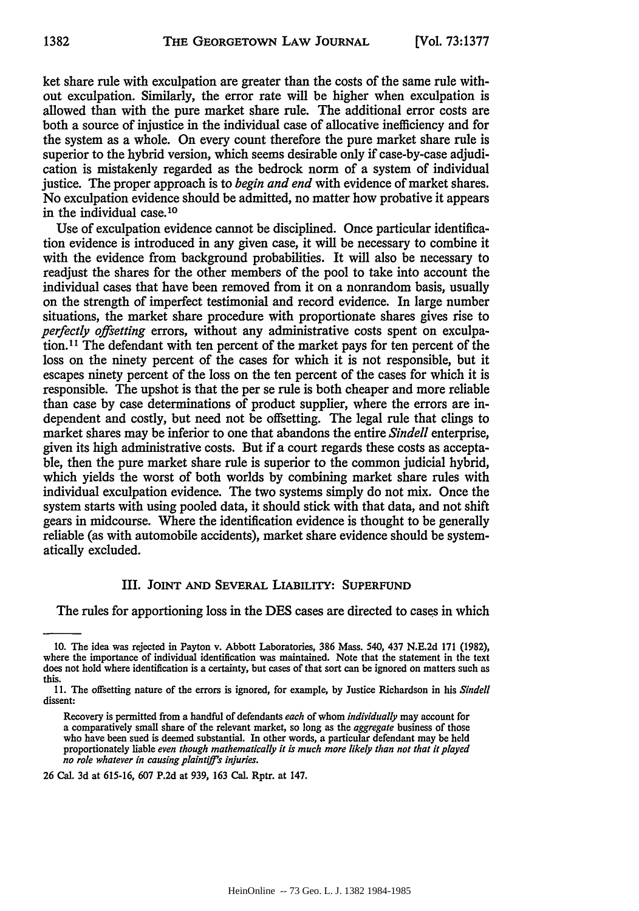ket share rule with exculpation are greater than the costs of the same rule without exculpation. Similarly, the error rate will be higher when exculpation is allowed than with the pure market share rule. The additional error costs are both a source of injustice in the individual case of allocative inefficiency and for the system as a whole. On every count therefore the pure market share rule is superior to the hybrid version, which seems desirable only if case-by-case adjudication is mistakenly regarded as the bedrock norm of a system of individual justice. The proper approach is to *begin and end* with evidence of market shares. No exculpation evidence should be admitted, no matter how probative it appears in the individual case. **10**

Use of exculpation evidence cannot be disciplined. Once particular identification evidence is introduced in any given case, it will be necessary to combine it with the evidence from background probabilities. It will also be necessary to readjust the shares for the other members of the pool to take into account the individual cases that have been removed from it on a nonrandom basis, usually on the strength of imperfect testimonial and record evidence. In large number situations, the market share procedure with proportionate shares gives rise to *perfectly offsetting* errors, without any administrative costs spent on exculpation. 11 The defendant with ten percent of the market pays for ten percent of the loss on the ninety percent of the cases for which it is not responsible, but it escapes ninety percent of the loss on the ten percent of the cases for which it is responsible. The upshot is that the per se rule is both cheaper and more reliable than case by case determinations of product supplier, where the errors are independent and costly, but need not be offsetting. The legal rule that clings to market shares may be inferior to one that abandons the entire *Sindell* enterprise, given its high administrative costs. But if a court regards these costs as acceptable, then the pure market share rule is superior to the common judicial hybrid, which yields the worst of both worlds by combining market share rules with individual exculpation evidence. The two systems simply do not mix. Once the system starts with using pooled data, it should stick with that data, and not shift gears in midcourse. Where the identification evidence is thought to be generally reliable (as with automobile accidents), market share evidence should be systematically excluded.

#### III. **JOINT AND** SEVERAL LIABILITY: **SUPERFUND**

The rules for apportioning loss in the **DES** cases are directed to cases in which

26 Cal. 3d at 615-16, 607 **P.2d** at 939, 163 Cal. Rptr. at 147.

**<sup>10.</sup>** The idea was rejected in Payton v. Abbott Laboratories, 386 Mass. 540, 437 **N.E.2d 171 (1982),** where the importance of individual identification was maintained. Note that the statement in the text does not hold where identification is a certainty, but cases of that sort can be ignored on matters such as this.

**II.** The offsetting nature of the errors is ignored, for example, **by** Justice Richardson in his *Sindell* dissent:

Recovery is permitted from a handful of defendants *each* of whom *individually* may account for a comparatively small share of the relevant market, so long as the *aggregate* business of those who have been sued is deemed substantial. In other words, a particular defendant may be **held** proportionately liable *even though mathematically it is much more likely than not that it played no role whatever in causing plaintiff's injuries.*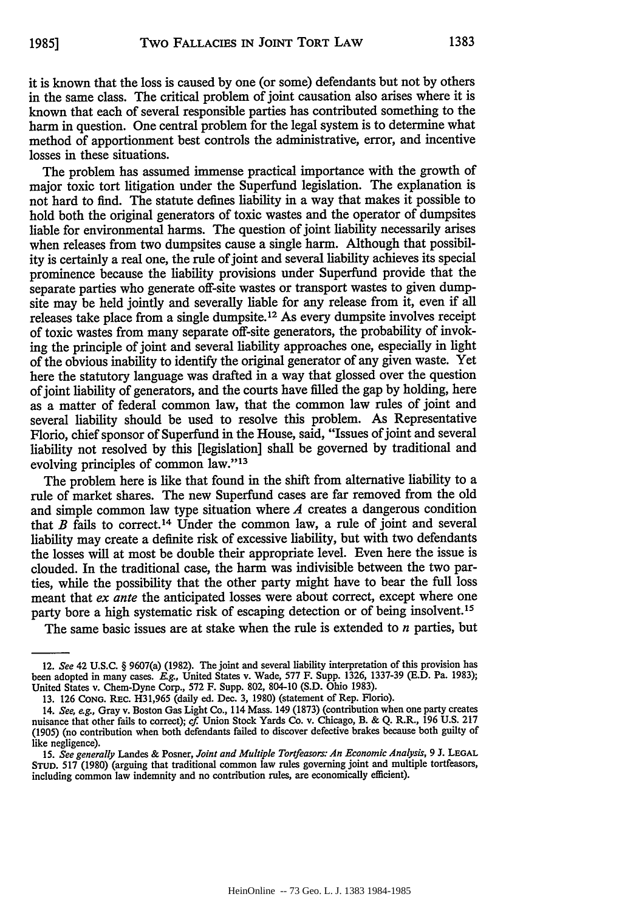it is known that the loss is caused by one (or some) defendants but not by others in the same class. The critical problem of joint causation also arises where it is known that each of several responsible parties has contributed something to the harm in question. One central problem for the legal system is to determine what method of apportionment best controls the administrative, error, and incentive losses in these situations.

The problem has assumed immense practical importance with the growth of major toxic tort litigation under the Superfund legislation. The explanation is not hard to find. The statute defines liability in a way that makes it possible to hold both the original generators of toxic wastes and the operator of dumpsites liable for environmental harms. The question of joint liability necessarily arises when releases from two dumpsites cause a single harm. Although that possibility is certainly a real one, the rule of joint and several liability achieves its special prominence because the liability provisions under Superfumd provide that the separate parties who generate off-site wastes or transport wastes to given dumpsite may be held jointly and severally liable for any release from it, even if all releases take place from a single dumpsite. 12 As every dumpsite involves receipt of toxic wastes from many separate off-site generators, the probability of invoking the principle of joint and several liability approaches one, especially in light of the obvious inability to identify the original generator of any given waste. Yet here the statutory language was drafted in a way that glossed over the question of joint liability of generators, and the courts have filled the gap by holding, here as a matter of federal common law, that the common law rules of joint and several liability should be used to resolve this problem. As Representative Florio, chief sponsor of Superfund in the House, said, "Issues of joint and several liability not resolved by this [legislation] shall be governed by traditional and evolving principles of common law."<sup>13</sup>

The problem here is like that found in the shift from alternative liability to a rule of market shares. The new Superfund cases are far removed from the old and simple common law type situation where *A* creates a dangerous condition that *B* fails to correct.14 Under the common law, a rule of joint and several liability may create a definite risk of excessive liability, but with two defendants the losses will at most be double their appropriate level. Even here the issue is clouded. In the traditional case, the harm was indivisible between the two parties, while the possibility that the other party might have to bear the full loss meant that *ex ante* the anticipated losses were about correct, except where one party bore a high systematic risk of escaping detection or of being insolvent.15

The same basic issues are at stake when the rule is extended to *n* parties, but

<sup>12.</sup> *See* 42 U.S.C. § 9607(a) (1982). The joint and several liability interpretation of this provision has been adopted in many cases. *E.g.,* United States v. Wade, 577 F. Supp. 1326, 1337-39 (E.D. Pa. 1983); United States v. Chem-Dyne Corp., 572 F. Supp. 802, 804-10 (S.D. Ohio 1983).

<sup>13. 126</sup> **CONG.** REc. H31,965 (daily ed. Dec. 3, 1980) (statement of Rep. Florio).

<sup>14.</sup> *See, e.g.,* Gray v. Boston Gas Light Co., 114 Mass. 149 (1873) (contribution when one party creates nuisance that other fails to correct); cf Union Stock Yards Co. v. Chicago, B. & Q. R.R., 196 U.S. 217 (1905) (no contribution when both defendants failed to discover defective brakes because both guilty of like negligence).

<sup>15.</sup> *See generally* Landes & Posner, *Joint and Multiple Tortfeasors: An Economic Analysis,* 9 J. **LEGAL STUD.** 517 (1980) (arguing that traditional common law rules governing joint and multiple tortfeasors, including common law indemnity and no contribution rules, are economically efficient).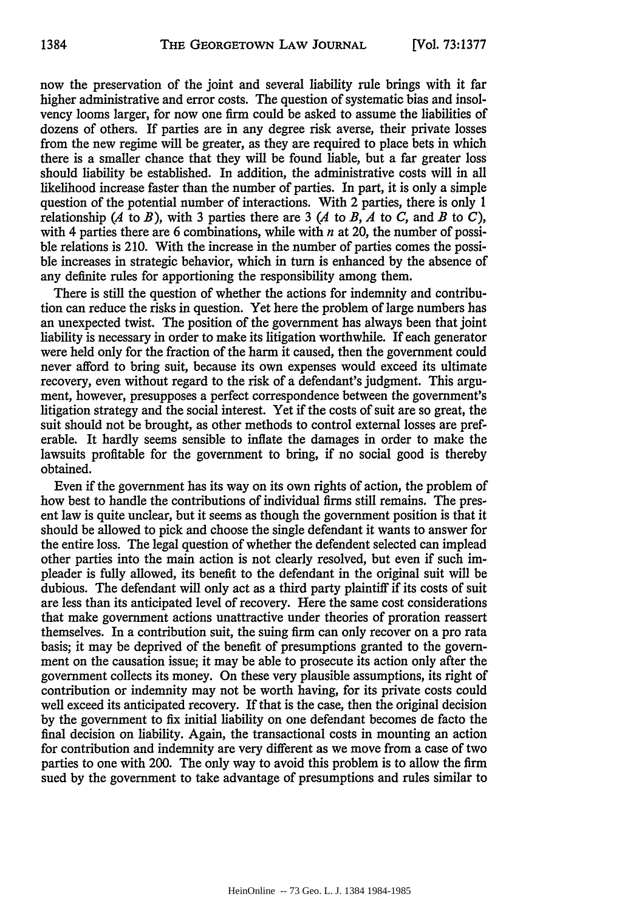now the preservation of the joint and several liability rule brings with it far higher administrative and error costs. The question of systematic bias and insolvency looms larger, for now one firm could be asked to assume the liabilities of dozens of others. If parties are in any degree risk averse, their private losses from the new regime will be greater, as they are required to place bets in which there is a smaller chance that they will be found liable, but a far greater loss should liability be established. In addition, the administrative costs will in all likelihood increase faster than the number of parties. In part, it is only a simple question of the potential number of interactions. With 2 parties, there is only 1 relationship  $(A \text{ to } B)$ , with 3 parties there are 3  $(A \text{ to } B, A \text{ to } C, \text{ and } B \text{ to } C)$ , with 4 parties there are 6 combinations, while with *n* at 20, the number of possible relations is 210. With the increase in the number of parties comes the possible increases in strategic behavior, which in turn is enhanced by the absence of any definite rules for apportioning the responsibility among them.

There is still the question of whether the actions for indemnity and contribution can reduce the risks in question. Yet here the problem of large numbers has an unexpected twist. The position of the government has always been that joint liability is necessary in order to make its litigation worthwhile. If each generator were held only for the fraction of the harm it caused, then the government could never afford to bring suit, because its own expenses would exceed its ultimate recovery, even without regard to the risk of a defendant's judgment. This argument, however, presupposes a perfect correspondence between the government's litigation strategy and the social interest. Yet if the costs of suit are so great, the suit should not be brought, as other methods to control external losses are preferable. It hardly seems sensible to inflate the damages in order to make the lawsuits profitable for the government to bring, if no social good is thereby obtained.

Even if the government has its way on its own rights of action, the problem of how best to handle the contributions of individual firms still remains. The present law is quite unclear, but it seems as though the government position is that it should be allowed to pick and choose the single defendant it wants to answer for the entire loss. The legal question of whether the defendent selected can implead other parties into the main action is not clearly resolved, but even if such impleader is fully allowed, its benefit to the defendant in the original suit will be dubious. The defendant will only act as a third party plaintiff if its costs of suit are less than its anticipated level of recovery. Here the same cost considerations that make government actions unattractive under theories of proration reassert themselves. In a contribution suit, the suing firm can only recover on a pro rata basis; it may be deprived of the benefit of presumptions granted to the government on the causation issue; it may be able to prosecute its action only after the government collects its money. On these very plausible assumptions, its right of contribution or indemnity may not be worth having, for its private costs could well exceed its anticipated recovery. If that is the case, then the original decision by the government to fix initial liability on one defendant becomes de facto the final decision on liability. Again, the transactional costs in mounting an action for contribution and indemnity are very different as we move from a case of two parties to one with 200. The only way to avoid this problem is to allow the firm sued by the government to take advantage of presumptions and rules similar to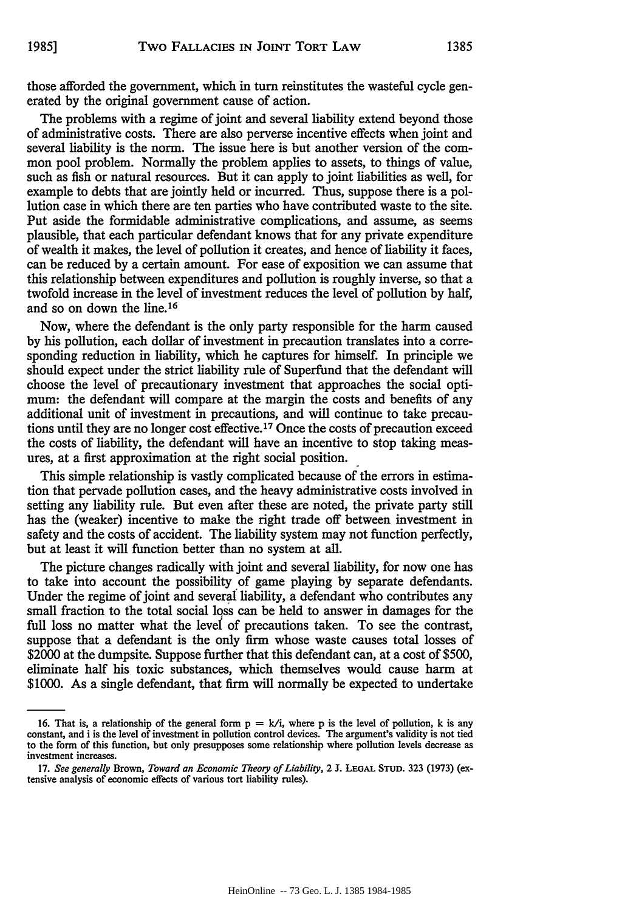The problems with a regime of joint and several liability extend beyond those of administrative costs. There are also perverse incentive effects when joint and several liability is the norm. The issue here is but another version of the common pool problem. Normally the problem applies to assets, to things of value, such as fish or natural resources. But it can apply to joint liabilities as well, for example to debts that are jointly held or incurred. Thus, suppose there is a pollution case in which there are ten parties who have contributed waste to the site. Put aside the formidable administrative complications, and assume, as seems plausible, that each particular defendant knows that for any private expenditure of wealth it makes, the level of pollution it creates, and hence of liability it faces, can be reduced by a certain amount. For ease of exposition we can assume that this relationship between expenditures and pollution is roughly inverse, so that a twofold increase in the level of investment reduces the level of pollution by half, and so on down the line.<sup>16</sup>

Now, where the defendant is the only party responsible for the harm caused by his pollution, each dollar of investment in precaution translates into a corresponding reduction in liability, which he captures for himself. In principle we should expect under the strict liability rule of Superfund that the defendant will choose the level of precautionary investment that approaches the social optimum: the defendant will compare at the margin the costs and benefits of any additional unit of investment in precautions, and will continue to take precautions until they are no longer cost effective. **17** Once the costs of precaution exceed the costs of liability, the defendant will have an incentive to stop taking measures, at a first approximation at the right social position.

This simple relationship is vastly complicated because of the errors in estimation that pervade pollution cases, and the heavy administrative costs involved in setting any liability rule. But even after these are noted, the private party still has the (weaker) incentive to make the right trade off between investment in safety and the costs of accident. The liability system may not function perfectly, but at least it will function better than no system at all.

The picture changes radically with joint and several liability, for now one has to take into account the possibility of game playing by separate defendants. Under the regime of joint and several liability, a defendant who contributes any small fraction to the total social loss can be held to answer in damages for the full loss no matter what the level of precautions taken. To see the contrast, suppose that a defendant is the only firm whose waste causes total losses of \$2000 at the dumpsite. Suppose further that this defendant can, at a cost of \$500, eliminate half his toxic substances, which themselves would cause harm at \$1000. As a single defendant, that firm will normally be expected to undertake

<sup>16.</sup> That is, a relationship of the general form  $p = k/i$ , where p is the level of pollution, k is any constant, and i is the level of investment in pollution control devices. The argument's validity is not tied to the form of this function, but only presupposes some relationship where pollution levels decrease as investment increases.

<sup>17.</sup> *See generally* Brown, *Toward an Economic Theory of Liability,* 2 **J. LEGAL STUD. 323 (1973)** (extensive analysis of economic effects of various tort liability rules).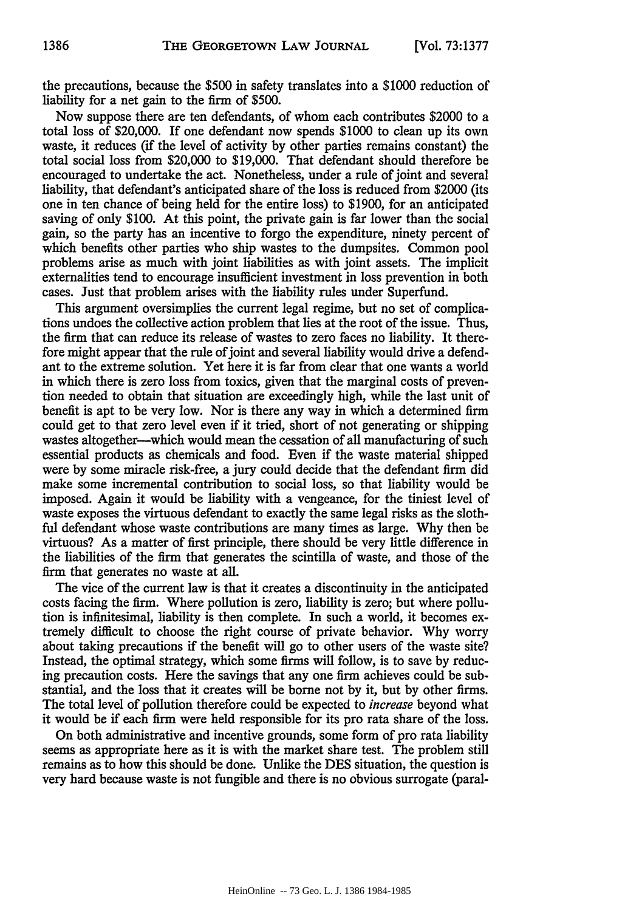the precautions, because the \$500 in safety translates into a \$1000 reduction of liability for a net gain to the firm of \$500.

Now suppose there are ten defendants, of whom each contributes \$2000 to a total loss of \$20,000. If one defendant now spends \$1000 to clean up its own waste, it reduces (if the level of activity by other parties remains constant) the total social loss from \$20,000 to \$19,000. That defendant should therefore be encouraged to undertake the act. Nonetheless, under a rule of joint and several liability, that defendant's anticipated share of the loss is reduced from \$2000 (its one in ten chance of being held for the entire loss) to \$1900, for an anticipated saving of only \$100. At this point, the private gain is far lower than the social gain, so the party has an incentive to forgo the expenditure, ninety percent of which benefits other parties who ship wastes to the dumpsites. Common pool problems arise as much with joint liabilities as with joint assets. The implicit externalities tend to encourage insufficient investment in loss prevention in both cases. Just that problem arises with the liability rules under Superfund.

This argument oversimplies the current legal regime, but no set of complications undoes the collective action problem that lies at the root of the issue. Thus, the firm that can reduce its release of wastes to zero faces no liability. It therefore might appear that the rule of joint and several liability would drive a defendant to the extreme solution. Yet here it is far from clear that one wants a world in which there is zero loss from toxics, given that the marginal costs of prevention needed to obtain that situation are exceedingly high, while the last unit of benefit is apt to be very low. Nor is there any way in which a determined firm could get to that zero level even if it tried, short of not generating or shipping wastes altogether—which would mean the cessation of all manufacturing of such essential products as chemicals and food. Even if the waste material shipped were by some miracle risk-free, a jury could decide that the defendant firm did make some incremental contribution to social loss, so that liability would be imposed. Again it would be liability with a vengeance, for the tiniest level of waste exposes the virtuous defendant to exactly the same legal risks as the slothful defendant whose waste contributions are many times as large. Why then be virtuous? As a matter of first principle, there should be very little difference in the liabilities of the firm that generates the scintilla of waste, and those of the firm that generates no waste at all.

The vice of the current law is that it creates a discontinuity in the anticipated costs facing the firm. Where pollution is zero, liability is zero; but where pollution is infinitesimal, liability is then complete. In such a world, it becomes extremely difficult to choose the right course of private behavior. Why worry about taking precautions if the benefit will go to other users of the waste site? Instead, the optimal strategy, which some firms will follow, is to save by reducing precaution costs. Here the savings that any one firm achieves could be substantial, and the loss that it creates will be borne not by it, but by other firms. The total level of pollution therefore could be expected to *increase* beyond what it would be if each firm were held responsible for its pro rata share of the loss.

On both administrative and incentive grounds, some form of pro rata liability seems as appropriate here as it is with the market share test. The problem still remains as to how this should be done. Unlike the DES situation, the question is very hard because waste is not fungible and there is no obvious surrogate (paral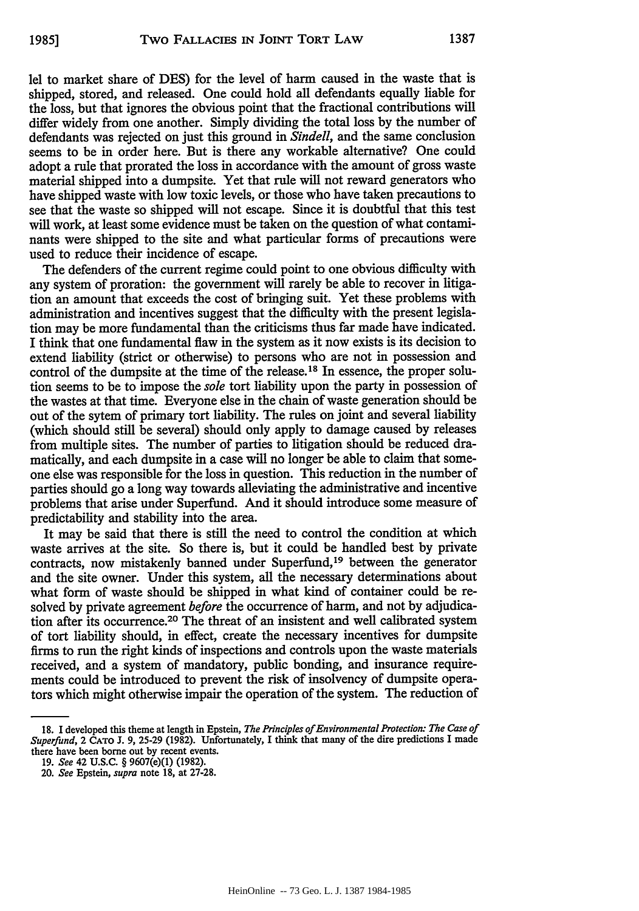lel to market share of DES) for the level of harm caused in the waste that is shipped, stored, and released. One could hold all defendants equally liable for the loss, but that ignores the obvious point that the fractional contributions will differ widely from one another. Simply dividing the total loss by the number of defendants was rejected on just this ground in *Sindell,* and the same conclusion seems to be in order here. But is there any workable alternative? One could adopt a rule that prorated the loss in accordance with the amount of gross waste material shipped into a dumpsite. Yet that rule will not reward generators who have shipped waste with low toxic levels, or those who have taken precautions to see that the waste so shipped will not escape. Since it is doubtful that this test will work, at least some evidence must be taken on the question of what contaminants were shipped to the site and what particular forms of precautions were used to reduce their incidence of escape.

The defenders of the current regime could point to one obvious difficulty with any system of proration: the government will rarely be able to recover in litigation an amount that exceeds the cost of bringing suit. Yet these problems with administration and incentives suggest that the difficulty with the present legislation may be more fundamental than the criticisms thus far made have indicated. I think that one fundamental flaw in the system as it now exists is its decision to extend liability (strict or otherwise) to persons who are not in possession and control of the dumpsite at the time of the release.<sup>18</sup> In essence, the proper solution seems to be to impose the *sole* tort liability upon the party in possession of the wastes at that time. Everyone else in the chain of waste generation should be out of the sytem of primary tort liability. The rules on joint and several liability (which should still be several) should only apply to damage caused by releases from multiple sites. The number of parties to litigation should be reduced dramatically, and each dumpsite in a case will no longer be able to claim that someone else was responsible for the loss in question. This reduction in the number of parties should go a long way towards alleviating the administrative and incentive problems that arise under Superfund. And it should introduce some measure of predictability and stability into the area.

It may be said that there is still the need to control the condition at which waste arrives at the site. So there is, but it could be handled best by private contracts, now mistakenly banned under Superfund,19 between the generator and the site owner. Under this system, all the necessary determinations about what form of waste should be shipped in what kind of container could be resolved by private agreement *before* the occurrence of harm, and not by adjudication after its occurrence.20 The threat of an insistent and well calibrated system of tort liability should, in effect, create the necessary incentives for dumpsite firms to run the right kinds of inspections and controls upon the waste materials received, and a system of mandatory, public bonding, and insurance requirements could be introduced to prevent the risk of insolvency of dumpsite operators which might otherwise impair the operation of the system. The reduction of

**<sup>18.</sup> I** developed this theme at length in Epstein, *The Principles of Environmental Protection: The Case of Superfund,* 2 **CATO J.** 9, 25-29 (1982). Unfortunately, I think that many of the dire predictions I made there have been borne out by recent events.

<sup>19.</sup> *See* 42 U.S.C. § 9607(e)(1) (1982).

<sup>20.</sup> *See* Epstein, *supra* note 18, at 27-28.